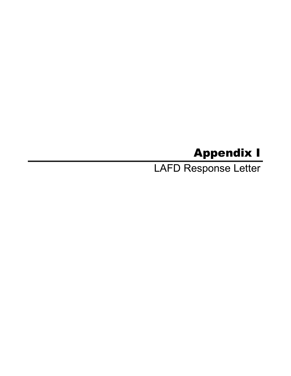# Appendix I

LAFD Response Letter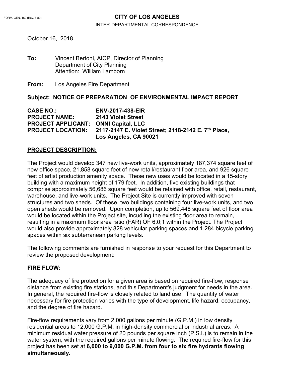## FORM. GEN. 160 (Rev. 6-80) **CITY OF LOS ANGELES**

#### INTER-DEPARTMENTAL CORRESPONDENCE

October 16, 2018

**To:** Vincent Bertoni, AICP, Director of Planning Department of City Planning Attention: William Lamborn

**From:** Los Angeles Fire Department

**Subject: NOTICE OF PREPARATION OF ENVIRONMENTAL IMPACT REPORT**

**CASE NO.: ENV-2017-438-EIR PROJECT NAME: 2143 Violet Street PROJECT APPLICANT: ONNI Capital, LLC PROJECT LOCATION: 2117-2147 E. Violet Street; 2118-2142 E. 7th Place, Los Angeles, CA 90021**

#### **PROJECT DESCRIPTION:**

The Project would develop 347 new live-work units, approximately 187,374 square feet of new office space, 21,858 square feet of new retail/restaurant floor area, and 926 square feet of artist production amenity space. These new uses would be located in a 15-story building with a maximum height of 179 feet. In addition, five existing buildings that comprise approximately 56,686 square feet would be retained with office, retail, restaurant, warehouse, and live-work units. The Project Site is currently improved with seven structures and two sheds. Of these, two buildings containing four live-work units, and two open sheds would be removed. Upon completion, up to 569,448 square feet of floor area would be located within the Project site, incudling the existing floor area to remain, resulting in a maximum floor area ratio (FAR) OF 6.0;1 within the Project. The Project would also provide approximately 828 vehicular parking spaces and 1,284 bicycle parking spaces within six subterranean parking levels.

The following comments are furnished in response to your request for this Department to review the proposed development:

#### **FIRE FLOW:**

The adequacy of fire protection for a given area is based on required fire-flow, response distance from existing fire stations, and this Department's judgment for needs in the area. In general, the required fire-flow is closely related to land use. The quantity of water necessary for fire protection varies with the type of development, life hazard, occupancy, and the degree of fire hazard.

Fire-flow requirements vary from 2,000 gallons per minute (G.P.M.) in low density residential areas to 12,000 G.P.M. in high-density commercial or industrial areas. A minimum residual water pressure of 20 pounds per square inch (P.S.I.) is to remain in the water system, with the required gallons per minute flowing. The required fire-flow for this project has been set at **6,000 to 9,000 G.P.M. from four to six fire hydrants flowing simultaneously.**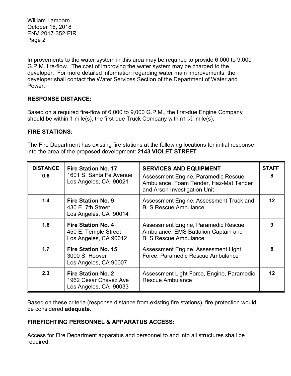Improvements to the water system in this area may be required to provide 6,000 to 9,000 G.P.M. fire-flow. The cost of improving the water system may be charged to the developer. For more detailed information regarding water main improvements, the developer shall contact the Water Services Section of the Department of Water and Power.

## **RESPONSE DISTANCE:**

Based on a required fire-flow of 6,000 to 9,000 G.P.M., the first-due Engine Company should be within 1 mile(s), the first-due Truck Company within  $\frac{1}{2}$  mile(s).

### **FIRE STATIONS:**

The Fire Department has existing fire stations at the following locations for initial response into the area of the proposed development: **2143 VIOLET STREET**

| <b>DISTANCE</b><br>0.6 | <b>Fire Station No. 17</b><br>1601 S. Santa Fe Avenue<br>Los Angeles, CA 90021 | <b>SERVICES AND EQUIPMENT</b><br>Assessment Engine, Paramedic Rescue<br>Ambulance, Foam Tender, Haz-Mat Tender<br>and Arson Investigation Unit | <b>STAFF</b>    |
|------------------------|--------------------------------------------------------------------------------|------------------------------------------------------------------------------------------------------------------------------------------------|-----------------|
| 1.4                    | <b>Fire Station No. 9</b><br>430 E. 7th Street<br>Los Angeles, CA 90014        | Assessment Engine, Assessment Truck and<br><b>BLS Rescue Ambulance</b>                                                                         | 12              |
| 1.6                    | <b>Fire Station No. 4</b><br>450 E, Temple Street<br>Los Angeles, CA 90012     | Assessment Engine, Paramedic Rescue<br>Ambulance, EMS Battalion Captain and<br><b>BLS Rescue Ambulance</b>                                     | 9               |
| 1.7                    | <b>Fire Station No. 15</b><br>3000 S. Hoover<br>Los Angeles, CA 90007          | Assessment Engine, Assessment Light<br>Force, Paramedic Rescue Ambulance                                                                       | 6               |
| 2.3                    | <b>Fire Station No. 2</b><br>1962 Cesar Chavez Ave<br>Los Angeles, CA 90033    | Assessment Light Force, Engine, Paramedic<br><b>Rescue Ambulance</b>                                                                           | 12 <sup>1</sup> |

Based on these criteria (response distance from existing fire stations), fire protection would be considered **adequate**.

## **FIREFIGHTING PERSONNEL & APPARATUS ACCESS:**

Access for Fire Department apparatus and personnel to and into all structures shall be required.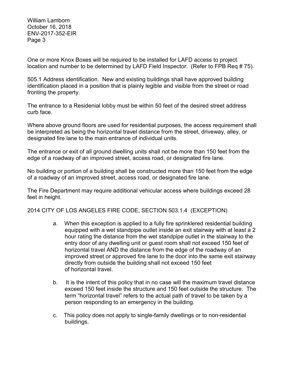One or more Knox Boxes will be required to be installed for LAFD access to project. location and number to be determined by LAFD Field Inspector. (Refer to FPB Req # 75).

505.1 Address identification. New and existing buildings shall have approved building identification placed in a position that is plainly legible and visible from the street or road fronting the property.

The entrance to a Residenial lobby must be within 50 feet of the desired street address curb face.

Where above ground floors are used for residential purposes, the access requirement shall be interpreted as being the horizontal travel distance from the street, driveway, alley, or designated fire lane to the main entrance of individual units.

The entrance or exit of all ground dwelling units shall not be more than 150 feet from the edge of a roadway of an improved street, access road, or designated fire lane.

No building or portion of a building shall be constructed more than 150 feet from the edge of a roadway of an improved street, access road, or designated fire lane.

The Fire Department may require additional vehicular access where buildings exceed 28 feet in height.

2014 CITY OF LOS ANGELES FIRE CODE, SECTION 503.1.4 (EXCEPTION)

- a. When this exception is applied to a fully fire sprinklered residential building equipped with a wet standpipe outlet inside an exit stairway with at least a 2 hour rating the distance from the wet standpipe outlet in the stairway to the entry door of any dwelling unit or guest room shall not exceed 150 feet of horizontal travel AND the distance from the edge of the roadway of an improved street or approved fire lane to the door into the same exit stairway directly from outside the building shall not exceed 150 feet of horizontal travel.
- b. It is the intent of this policy that in no case will the maximum travel distance exceed 150 feet inside the structure and 150 feet outside the structure. The term "horizontal travel" refers to the actual path of travel to be taken by a person responding to an emergency in the building.
- c. This policy does not apply to single-family dwellings or to non-residential buildings.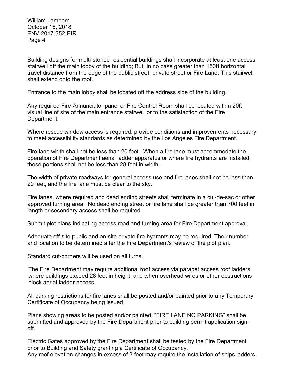Building designs for multi-storied residential buildings shall incorporate at least one access stairwell off the main lobby of the building; But, in no case greater than 150ft horizontal travel distance from the edge of the public street, private street or Fire Lane. This stairwell shall extend onto the roof.

Entrance to the main lobby shall be located off the address side of the building.

Any required Fire Annunciator panel or Fire Control Room shall be located within 20ft visual line of site of the main entrance stairwell or to the satisfaction of the Fire Department.

Where rescue window access is required, provide conditions and improvements necessary to meet accessibility standards as determined by the Los Angeles Fire Department.

Fire lane width shall not be less than 20 feet. When a fire lane must accommodate the operation of Fire Department aerial ladder apparatus or where fire hydrants are installed, those portions shall not be less than 28 feet in width.

The width of private roadways for general access use and fire lanes shall not be less than 20 feet, and the fire lane must be clear to the sky.

Fire lanes, where required and dead ending streets shall terminate in a cul-de-sac or other approved turning area. No dead ending street or fire lane shall be greater than 700 feet in length or secondary access shall be required.

Submit plot plans indicating access road and turning area for Fire Department approval.

Adequate off-site public and on-site private fire hydrants may be required. Their number and location to be determined after the Fire Department's review of the plot plan.

Standard cut-corners will be used on all turns.

 The Fire Department may require additional roof access via parapet access roof ladders where buildings exceed 28 feet in height, and when overhead wires or other obstructions block aerial ladder access.

All parking restrictions for fire lanes shall be posted and/or painted prior to any Temporary Certificate of Occupancy being issued.

Plans showing areas to be posted and/or painted, "FIRE LANE NO PARKING" shall be submitted and approved by the Fire Department prior to building permit application signoff.

Electric Gates approved by the Fire Department shall be tested by the Fire Department prior to Building and Safety granting a Certificate of Occupancy. Any roof elevation changes in excess of 3 feet may require the installation of ships ladders.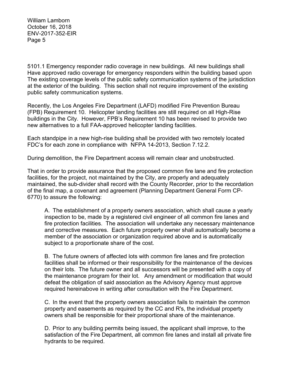5101.1 Emergency responder radio coverage in new buildings. All new buildings shall Have approved radio coverage for emergency responders within the building based upon The existing coverage levels of the public safety communication systems of the jurisdiction at the exterior of the building. This section shall not require improvement of the existing public safety communication systems.

Recently, the Los Angeles Fire Department (LAFD) modified Fire Prevention Bureau (FPB) Requirement 10. Helicopter landing facilities are still required on all High-Rise buildings in the City. However, FPB's Requirement 10 has been revised to provide two new alternatives to a full FAA-approved helicopter landing facilities.

Each standpipe in a new high-rise building shall be provided with two remotely located FDC's for each zone in compliance with NFPA 14-2013, Section 7.12.2.

During demolition, the Fire Department access will remain clear and unobstructed.

That in order to provide assurance that the proposed common fire lane and fire protection facilities, for the project, not maintained by the City, are properly and adequately maintained, the sub-divider shall record with the County Recorder, prior to the recordation of the final map, a covenant and agreement (Planning Department General Form CP-6770) to assure the following:

A. The establishment of a property owners association, which shall cause a yearly inspection to be, made by a registered civil engineer of all common fire lanes and fire protection facilities. The association will undertake any necessary maintenance and corrective measures. Each future property owner shall automatically become a member of the association or organization required above and is automatically subject to a proportionate share of the cost.

B. The future owners of affected lots with common fire lanes and fire protection facilities shall be informed or their responsibility for the maintenance of the devices on their lots. The future owner and all successors will be presented with a copy of the maintenance program for their lot. Any amendment or modification that would defeat the obligation of said association as the Advisory Agency must approve required hereinabove in writing after consultation with the Fire Department.

C. In the event that the property owners association fails to maintain the common property and easements as required by the CC and R's, the individual property owners shall be responsible for their proportional share of the maintenance.

D. Prior to any building permits being issued, the applicant shall improve, to the satisfaction of the Fire Department, all common fire lanes and install all private fire hydrants to be required.